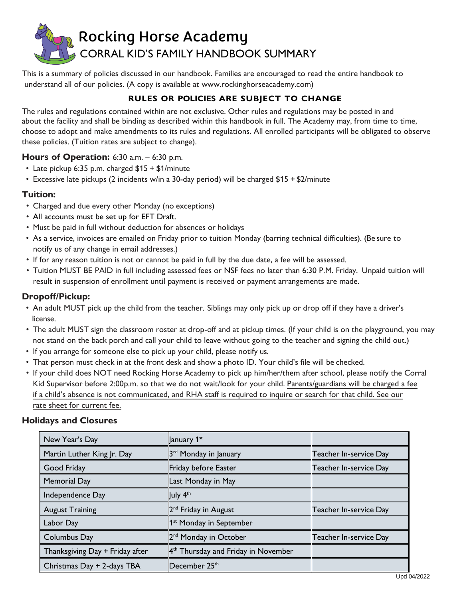

This is a summary of policies discussed in our handbook. Families are encouraged to read the entire handbook to understand all of our policies. (A copy is available at www.rockinghorseacademy.com)

# **RULES OR POLICIES ARE SUBJECT TO CHANGE**

The rules and regulations contained within are not exclusive. Other rules and regulations may be posted in and about the facility and shall be binding as described within this handbook in full. The Academy may, from time to time, choose to adopt and make amendments to its rules and regulations. All enrolled participants will be obligated to observe these policies. (Tuition rates are subject to change).

### **Hours of Operation:** 6:30 a.m. – 6:30 p.m.

- Late pickup 6:35 p.m. charged \$15 + \$1/minute
- Excessive late pickups (2 incidents w/in a 30-day period) will be charged \$15 + \$2/minute

### **Tuition:**

- Charged and due every other Monday (no exceptions)
- All accounts must be set up for EFT Draft.
- Must be paid in full without deduction for absences or holidays
- As a service, invoices are emailed on Friday prior to tuition Monday (barring technical difficulties). (Be sure to notify us of any change in email addresses.)
- If for any reason tuition is not or cannot be paid in full by the due date, a fee will be assessed.
- Tuition MUST BE PAID in full including assessed fees or NSF fees no later than 6:30 P.M. Friday. Unpaid tuition will result in suspension of enrollment until payment is received or payment arrangements are made.

## **Dropoff/Pickup:**

- An adult MUST pick up the child from the teacher. Siblings may only pick up or drop off if they have a driver's license.
- The adult MUST sign the classroom roster at drop-off and at pickup times. (If your child is on the playground, you may not stand on the back porch and call your child to leave without going to the teacher and signing the child out.)
- If you arrange for someone else to pick up your child, please notify us.
- That person must check in at the front desk and show a photo ID. Your child's file will be checked.
- If your child does NOT need Rocking Horse Academy to pick up him/her/them after school, please notify the Corral Kid Supervisor before 2:00p.m. so that we do not wait/look for your child. Parents/guardians will be charged a fee if a child's absence is not communicated, and RHA staff is required to inquire or search for that child. See our rate sheet for current fee.

#### **Holidays and Closures**

| New Year's Day                  | January 1 <sup>st</sup>                                    |                        |
|---------------------------------|------------------------------------------------------------|------------------------|
| Martin Luther King Jr. Day      | 3 <sup>rd</sup> Monday in January                          | Teacher In-service Day |
| Good Friday                     | Friday before Easter                                       | Teacher In-service Day |
| <b>Memorial Day</b>             | Last Monday in May                                         |                        |
| Independence Day                | July 4 <sup>th</sup>                                       |                        |
| <b>August Training</b>          | 2 <sup>nd</sup> Friday in August                           | Teacher In-service Day |
| Labor Day                       | 1 <sup>st</sup> Monday in September                        |                        |
| Columbus Day                    | 2 <sup>nd</sup> Monday in October                          | Teacher In-service Day |
| Thanksgiving Day + Friday after | $\mathbb{A}$ <sup>th</sup> Thursday and Friday in November |                        |
| Christmas Day + 2-days TBA      | December $25th$                                            |                        |